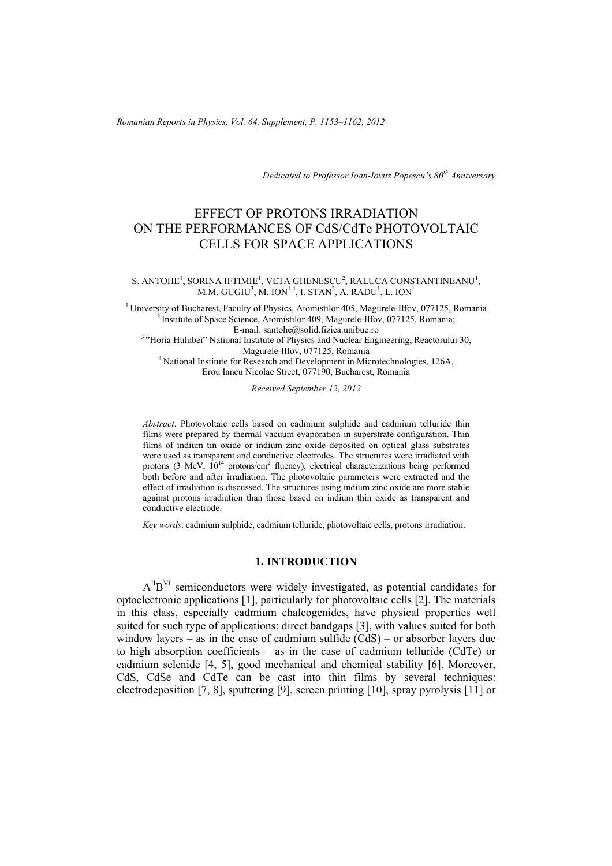*Romanian Reports in Physics, Vol. 64, Supplement, P. 1153–1162, 2012*

*Dedicated to Professor Ioan-Iovitz Popescu's 80th Anniversary* 

# EFFECT OF PROTONS IRRADIATION ON THE PERFORMANCES OF CdS/CdTe PHOTOVOLTAIC CELLS FOR SPACE APPLICATIONS

#### S. ANTOHE<sup>1</sup>, SORINA IFTIMIE<sup>1</sup>, VETA GHENESCU<sup>2</sup>, RALUCA CONSTANTINEANU<sup>1</sup>, M.M. GUGIU<sup>3</sup>, M. ION<sup>1,4</sup>, I. STAN<sup>2</sup>, A. RADU<sup>1</sup>, L. ION<sup>1</sup>

<sup>1</sup> University of Bucharest, Faculty of Physics, Atomistilor 405, Magurele-Ilfov, 077125, Romania <sup>2</sup> Institute of Space Science, Atomistilor 409, Magurele-Ilfov, 077125, Romania;<br>E-mail: santohe@solid.fizica.unibuc.ro

<sup>3</sup> "Horia Hulubei" National Institute of Physics and Nuclear Engineering, Reactorului 30,<br>Magurele-Ilfov. 077125. Romania <sup>4</sup> National Institute for Research and Development in Microtechnologies, 126A,

Erou Iancu Nicolae Street, 077190, Bucharest, Romania

*Received September 12, 2012* 

*Abstract*. Photovoltaic cells based on cadmium sulphide and cadmium telluride thin films were prepared by thermal vacuum evaporation in superstrate configuration. Thin films of indium tin oxide or indium zinc oxide deposited on optical glass substrates were used as transparent and conductive electrodes. The structures were irradiated with protons (3 MeV,  $10^{14}$  protons/cm<sup>2</sup> fluency), electrical characterizations being performed both before and after irradiation. The photovoltaic parameters were extracted and the effect of irradiation is discussed. The structures using indium zinc oxide are more stable against protons irradiation than those based on indium thin oxide as transparent and conductive electrode.

*Key words*: cadmium sulphide, cadmium telluride, photovoltaic cells, protons irradiation.

### **1. INTRODUCTION**

AIIBVI semiconductors were widely investigated, as potential candidates for optoelectronic applications [1], particularly for photovoltaic cells [2]. The materials in this class, especially cadmium chalcogenides, have physical properties well suited for such type of applications: direct bandgaps [3], with values suited for both window layers – as in the case of cadmium sulfide (CdS) – or absorber layers due to high absorption coefficients – as in the case of cadmium telluride (CdTe) or cadmium selenide [4, 5], good mechanical and chemical stability [6]. Moreover, CdS, CdSe and CdTe can be cast into thin films by several techniques: electrodeposition [7, 8], sputtering [9], screen printing [10], spray pyrolysis [11] or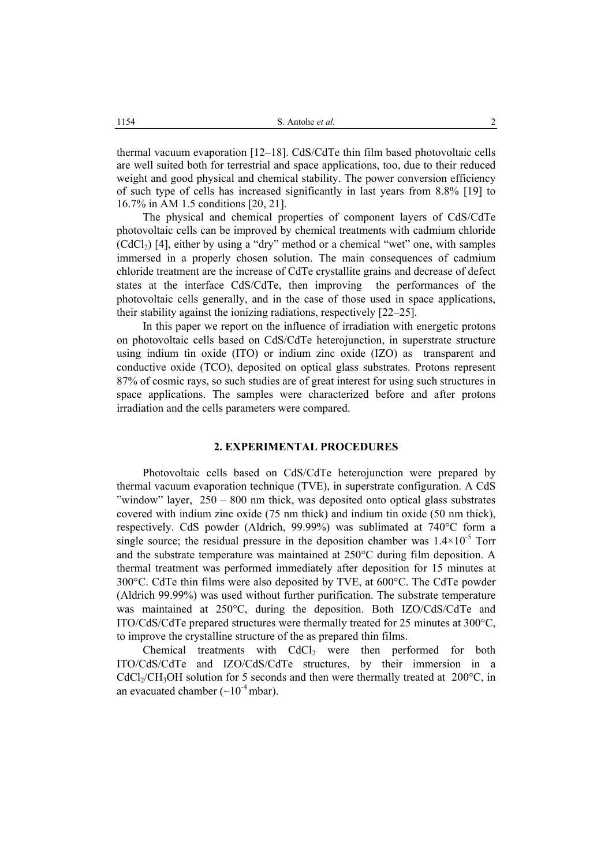thermal vacuum evaporation [12–18]. CdS/CdTe thin film based photovoltaic cells are well suited both for terrestrial and space applications, too, due to their reduced weight and good physical and chemical stability. The power conversion efficiency of such type of cells has increased significantly in last years from 8.8% [19] to 16.7% in AM 1.5 conditions [20, 21].

The physical and chemical properties of component layers of CdS/CdTe photovoltaic cells can be improved by chemical treatments with cadmium chloride  $(CdC<sub>1</sub>)$  [4], either by using a "dry" method or a chemical "wet" one, with samples immersed in a properly chosen solution. The main consequences of cadmium chloride treatment are the increase of CdTe crystallite grains and decrease of defect states at the interface CdS/CdTe, then improving the performances of the photovoltaic cells generally, and in the case of those used in space applications, their stability against the ionizing radiations, respectively [22–25].

In this paper we report on the influence of irradiation with energetic protons on photovoltaic cells based on CdS/CdTe heterojunction, in superstrate structure using indium tin oxide (ITO) or indium zinc oxide (IZO) as transparent and conductive oxide (TCO), deposited on optical glass substrates. Protons represent 87% of cosmic rays, so such studies are of great interest for using such structures in space applications. The samples were characterized before and after protons irradiation and the cells parameters were compared.

### **2. EXPERIMENTAL PROCEDURES**

Photovoltaic cells based on CdS/CdTe heterojunction were prepared by thermal vacuum evaporation technique (TVE), in superstrate configuration. A CdS "window" layer, 250 – 800 nm thick, was deposited onto optical glass substrates covered with indium zinc oxide (75 nm thick) and indium tin oxide (50 nm thick), respectively. CdS powder (Aldrich, 99.99%) was sublimated at 740°C form a single source; the residual pressure in the deposition chamber was  $1.4 \times 10^{-5}$  Torr and the substrate temperature was maintained at 250°C during film deposition. A thermal treatment was performed immediately after deposition for 15 minutes at 300°C. CdTe thin films were also deposited by TVE, at 600°C. The CdTe powder (Aldrich 99.99%) was used without further purification. The substrate temperature was maintained at 250°C, during the deposition. Both IZO/CdS/CdTe and ITO/CdS/CdTe prepared structures were thermally treated for 25 minutes at 300°C, to improve the crystalline structure of the as prepared thin films.

Chemical treatments with CdCl<sub>2</sub> were then performed for both ITO/CdS/CdTe and IZO/CdS/CdTe structures, by their immersion in a  $CdCl<sub>2</sub>/CH<sub>3</sub>OH$  solution for 5 seconds and then were thermally treated at 200 $^{\circ}$ C, in an evacuated chamber  $({\sim}10^{-4}$  mbar).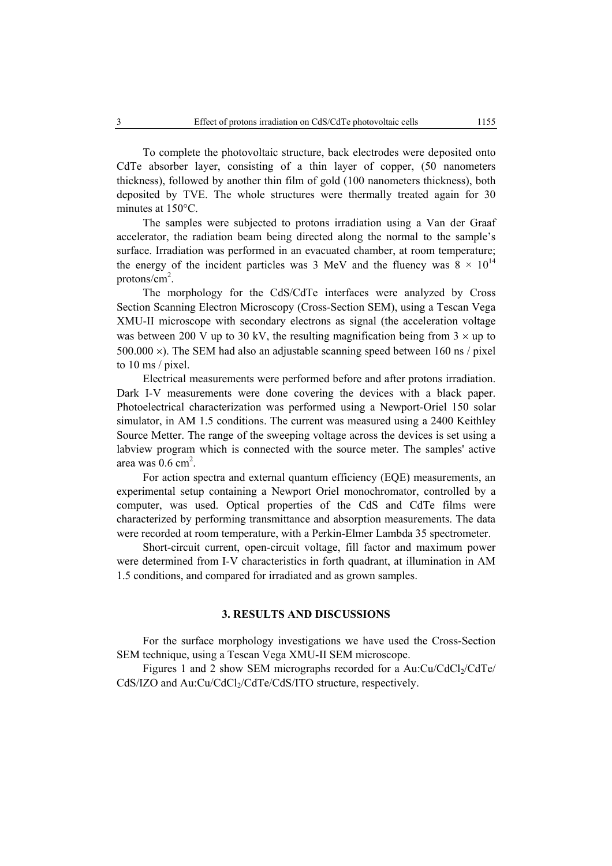To complete the photovoltaic structure, back electrodes were deposited onto CdTe absorber layer, consisting of a thin layer of copper, (50 nanometers thickness), followed by another thin film of gold (100 nanometers thickness), both deposited by TVE. The whole structures were thermally treated again for 30 minutes at 150°C.

The samples were subjected to protons irradiation using a Van der Graaf accelerator, the radiation beam being directed along the normal to the sample's surface. Irradiation was performed in an evacuated chamber, at room temperature; the energy of the incident particles was 3 MeV and the fluency was  $8 \times 10^{14}$ protons/ $\text{cm}^2$ .

The morphology for the CdS/CdTe interfaces were analyzed by Cross Section Scanning Electron Microscopy (Cross-Section SEM), using a Tescan Vega XMU-II microscope with secondary electrons as signal (the acceleration voltage was between 200 V up to 30 kV, the resulting magnification being from  $3 \times$  up to 500.000  $\times$ ). The SEM had also an adjustable scanning speed between 160 ns / pixel to 10 ms / pixel.

Electrical measurements were performed before and after protons irradiation. Dark I-V measurements were done covering the devices with a black paper. Photoelectrical characterization was performed using a Newport-Oriel 150 solar simulator, in AM 1.5 conditions. The current was measured using a 2400 Keithley Source Metter. The range of the sweeping voltage across the devices is set using a labview program which is connected with the source meter. The samples' active area was  $0.6 \text{ cm}^2$ .

For action spectra and external quantum efficiency (EQE) measurements, an experimental setup containing a Newport Oriel monochromator, controlled by a computer, was used. Optical properties of the CdS and CdTe films were characterized by performing transmittance and absorption measurements. The data were recorded at room temperature, with a Perkin-Elmer Lambda 35 spectrometer.

Short-circuit current, open-circuit voltage, fill factor and maximum power were determined from I-V characteristics in forth quadrant, at illumination in AM 1.5 conditions, and compared for irradiated and as grown samples.

## **3. RESULTS AND DISCUSSIONS**

For the surface morphology investigations we have used the Cross-Section SEM technique, using a Tescan Vega XMU-II SEM microscope.

Figures 1 and 2 show SEM micrographs recorded for a  $Au:Cu/CdCl<sub>2</sub>/CdTe/$ CdS/IZO and Au:Cu/CdCl<sub>2</sub>/CdTe/CdS/ITO structure, respectively.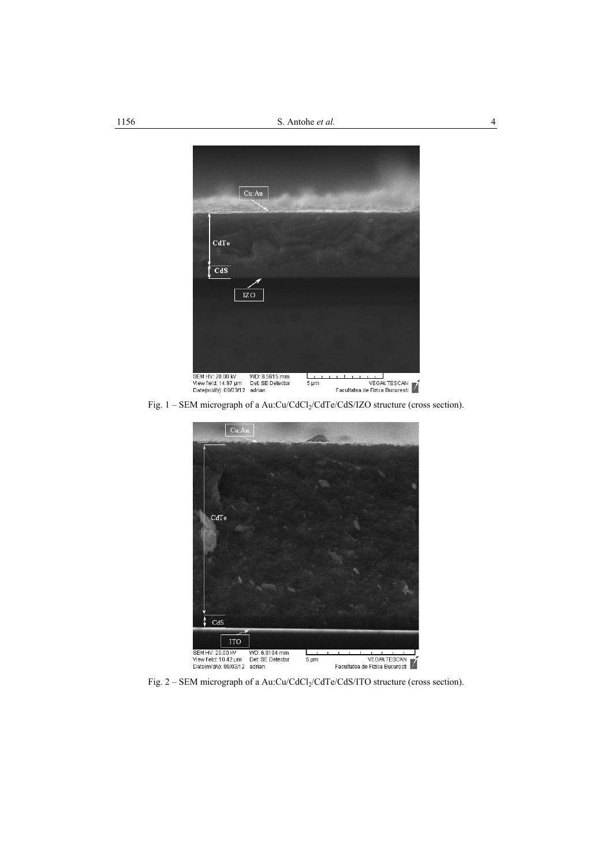

Fig. 1 – SEM micrograph of a Au:Cu/CdCl<sub>2</sub>/CdTe/CdS/IZO structure (cross section).



Fig. 2 – SEM micrograph of a Au:Cu/CdCl<sub>2</sub>/CdTe/CdS/ITO structure (cross section).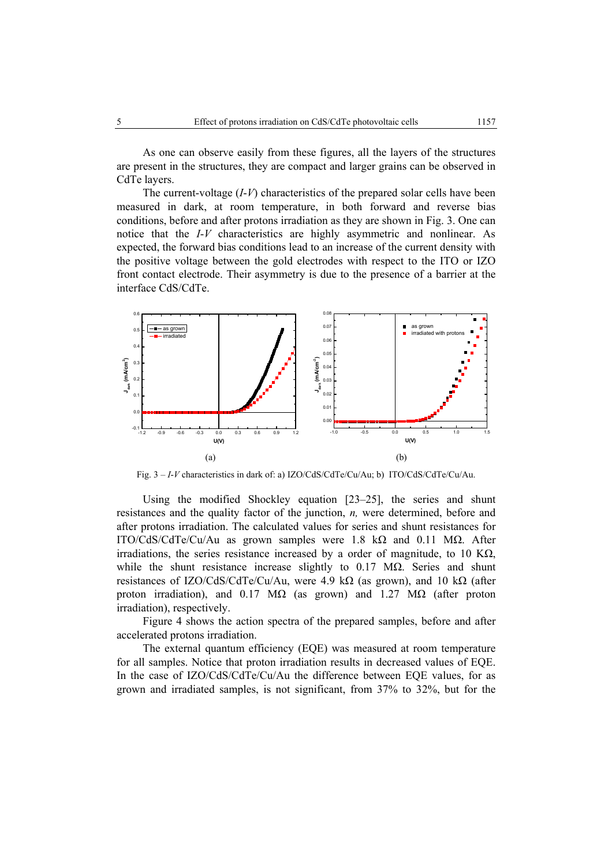As one can observe easily from these figures, all the layers of the structures are present in the structures, they are compact and larger grains can be observed in CdTe layers.

The current-voltage (*I*-*V*) characteristics of the prepared solar cells have been measured in dark, at room temperature, in both forward and reverse bias conditions, before and after protons irradiation as they are shown in Fig. 3. One can notice that the *I*-*V* characteristics are highly asymmetric and nonlinear. As expected, the forward bias conditions lead to an increase of the current density with the positive voltage between the gold electrodes with respect to the ITO or IZO front contact electrode. Their asymmetry is due to the presence of a barrier at the interface CdS/CdTe.



Fig. 3 – *I*-*V* characteristics in dark of: a) IZO/CdS/CdTe/Cu/Au; b) ITO/CdS/CdTe/Cu/Au.

Using the modified Shockley equation [23–25], the series and shunt resistances and the quality factor of the junction, *n,* were determined, before and after protons irradiation. The calculated values for series and shunt resistances for ITO/CdS/CdTe/Cu/Au as grown samples were 1.8 kΩ and 0.11 MΩ. After irradiations, the series resistance increased by a order of magnitude, to 10 K $\Omega$ , while the shunt resistance increase slightly to 0.17 MΩ. Series and shunt resistances of IZO/CdS/CdTe/Cu/Au, were 4.9 kΩ (as grown), and 10 kΩ (after proton irradiation), and 0.17 M $\Omega$  (as grown) and 1.27 M $\Omega$  (after proton irradiation), respectively.

Figure 4 shows the action spectra of the prepared samples, before and after accelerated protons irradiation.

The external quantum efficiency (EQE) was measured at room temperature for all samples. Notice that proton irradiation results in decreased values of EQE. In the case of IZO/CdS/CdTe/Cu/Au the difference between EQE values, for as grown and irradiated samples, is not significant, from 37% to 32%, but for the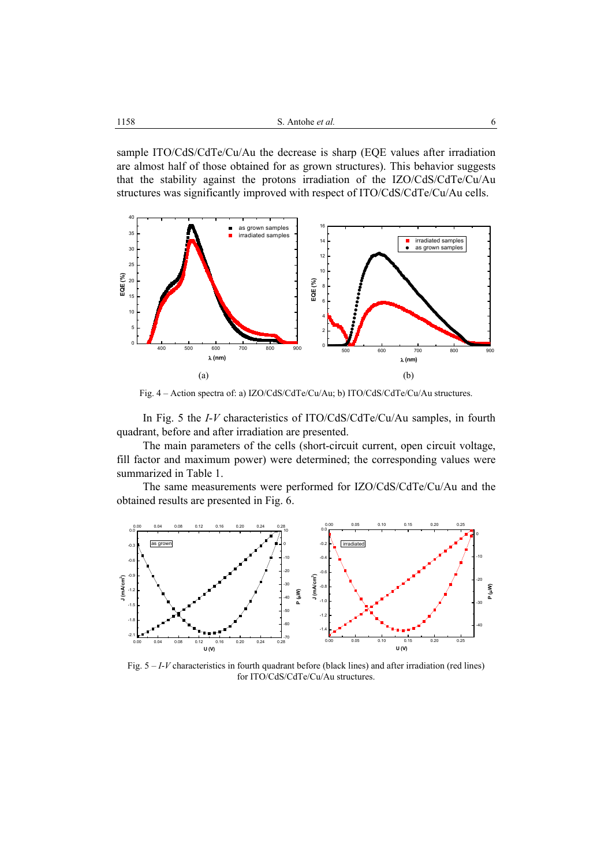sample ITO/CdS/CdTe/Cu/Au the decrease is sharp (EQE values after irradiation are almost half of those obtained for as grown structures). This behavior suggests that the stability against the protons irradiation of the IZO/CdS/CdTe/Cu/Au structures was significantly improved with respect of ITO/CdS/CdTe/Cu/Au cells.



Fig. 4 – Action spectra of: a) IZO/CdS/CdTe/Cu/Au; b) ITO/CdS/CdTe/Cu/Au structures.

 In Fig. 5 the *I*-*V* characteristics of ITO/CdS/CdTe/Cu/Au samples, in fourth quadrant, before and after irradiation are presented.

The main parameters of the cells (short-circuit current, open circuit voltage, fill factor and maximum power) were determined; the corresponding values were summarized in Table 1.

The same measurements were performed for IZO/CdS/CdTe/Cu/Au and the obtained results are presented in Fig. 6.



Fig. 5 – *I*-*V* characteristics in fourth quadrant before (black lines) and after irradiation (red lines) for ITO/CdS/CdTe/Cu/Au structures.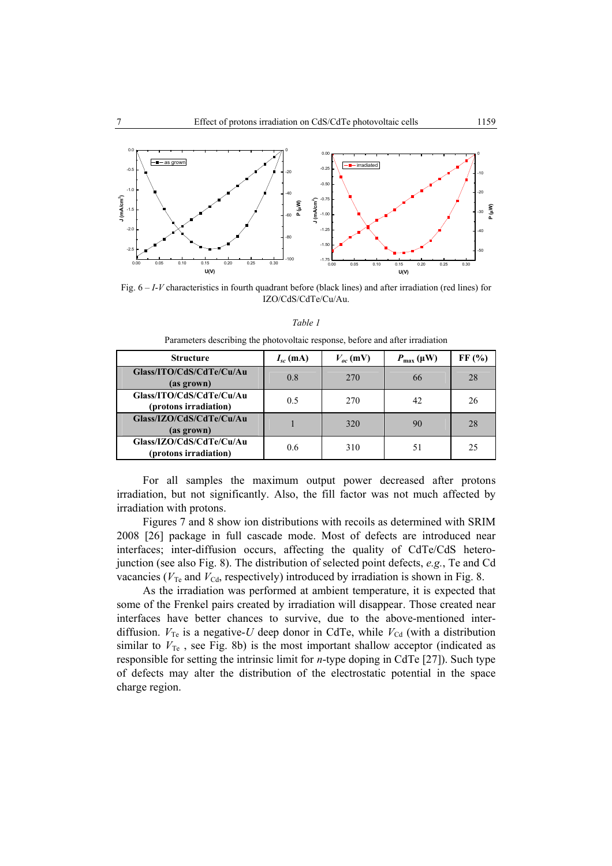

Fig. 6 – *I*-*V* characteristics in fourth quadrant before (black lines) and after irradiation (red lines) for IZO/CdS/CdTe/Cu/Au.

| Table 1                                                                       |  |
|-------------------------------------------------------------------------------|--|
| Parameters describing the photovoltaic response, before and after irradiation |  |

| <b>Structure</b>                                  | $I_{sc}$ (mA) | $V_{ac}$ (mV) | $P_{\text{max}}(\mu W)$ | FF(%) |
|---------------------------------------------------|---------------|---------------|-------------------------|-------|
| Glass/ITO/CdS/CdTe/Cu/Au<br>(as grown)            | 0.8           | 270           | 66                      | 28    |
| Glass/ITO/CdS/CdTe/Cu/Au<br>(protons irradiation) | 0.5           | 270           | 42                      | 26    |
| Glass/IZO/CdS/CdTe/Cu/Au<br>(as grown)            |               | 320           | 90                      | 28    |
| Glass/IZO/CdS/CdTe/Cu/Au<br>(protons irradiation) | 0.6           | 310           | 51                      | 25    |

For all samples the maximum output power decreased after protons irradiation, but not significantly. Also, the fill factor was not much affected by irradiation with protons.

Figures 7 and 8 show ion distributions with recoils as determined with SRIM 2008 [26] package in full cascade mode. Most of defects are introduced near interfaces; inter-diffusion occurs, affecting the quality of CdTe/CdS heterojunction (see also Fig. 8). The distribution of selected point defects, *e.g.*, Te and Cd vacancies ( $V_{\text{Te}}$  and  $V_{\text{Cd}}$ , respectively) introduced by irradiation is shown in Fig. 8.

As the irradiation was performed at ambient temperature, it is expected that some of the Frenkel pairs created by irradiation will disappear. Those created near interfaces have better chances to survive, due to the above-mentioned interdiffusion.  $V_{\text{Te}}$  is a negative-*U* deep donor in CdTe, while  $V_{\text{Cd}}$  (with a distribution similar to  $V_{\text{Te}}$ , see Fig. 8b) is the most important shallow acceptor (indicated as responsible for setting the intrinsic limit for *n*-type doping in CdTe [27]). Such type of defects may alter the distribution of the electrostatic potential in the space charge region.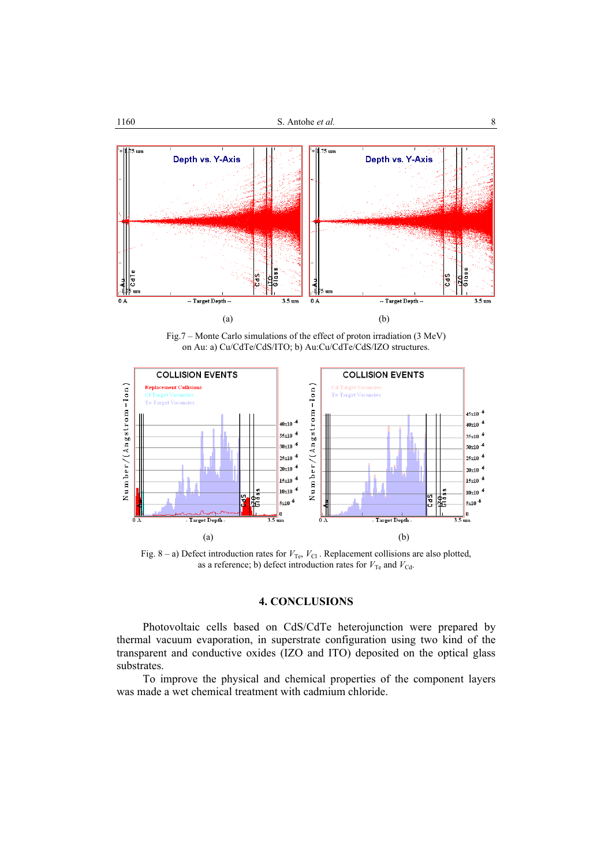

Fig.7 – Monte Carlo simulations of the effect of proton irradiation (3 MeV) on Au: a) Cu/CdTe/CdS/ITO; b) Au:Cu/CdTe/CdS/IZO structures.



Fig.  $8 - a$ ) Defect introduction rates for  $V_{\text{Te}}$ ,  $V_{\text{Cl}}$ . Replacement collisions are also plotted, as a reference; b) defect introduction rates for  $V_{\text{Te}}$  and  $V_{\text{Cd}}$ .

## **4. CONCLUSIONS**

Photovoltaic cells based on CdS/CdTe heterojunction were prepared by thermal vacuum evaporation, in superstrate configuration using two kind of the transparent and conductive oxides (IZO and ITO) deposited on the optical glass substrates.

To improve the physical and chemical properties of the component layers was made a wet chemical treatment with cadmium chloride.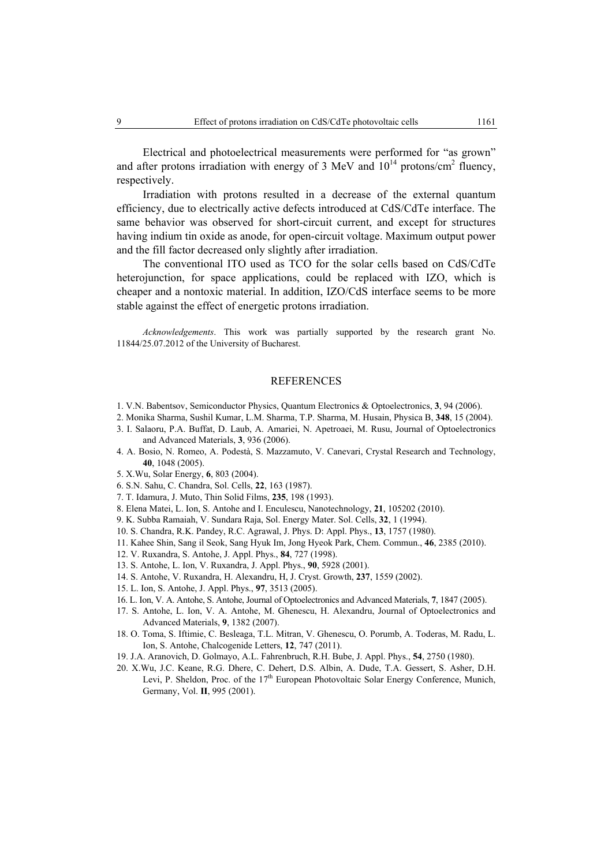Electrical and photoelectrical measurements were performed for "as grown" and after protons irradiation with energy of 3 MeV and  $10^{14}$  protons/cm<sup>2</sup> fluency, respectively.

Irradiation with protons resulted in a decrease of the external quantum efficiency, due to electrically active defects introduced at CdS/CdTe interface. The same behavior was observed for short-circuit current, and except for structures having indium tin oxide as anode, for open-circuit voltage. Maximum output power and the fill factor decreased only slightly after irradiation.

The conventional ITO used as TCO for the solar cells based on CdS/CdTe heterojunction, for space applications, could be replaced with IZO, which is cheaper and a nontoxic material. In addition, IZO/CdS interface seems to be more stable against the effect of energetic protons irradiation.

*Acknowledgements*. This work was partially supported by the research grant No. 11844/25.07.2012 of the University of Bucharest.

#### **REFERENCES**

- 1. V.N. Babentsov, Semiconductor Physics, Quantum Electronics & Optoelectronics, **3**, 94 (2006).
- 2. Monika Sharma, Sushil Kumar, L.M. Sharma, T.P. Sharma, M. Husain, Physica B, **348**, 15 (2004).
- 3. I. Salaoru, P.A. Buffat, D. Laub, A. Amariei, N. Apetroaei, M. Rusu, Journal of Optoelectronics and Advanced Materials, **3**, 936 (2006).
- 4. A. Bosio, N. Romeo, A. Podestà, S. Mazzamuto, V. Canevari, Crystal Research and Technology, **40**, 1048 (2005).
- 5. X.Wu, Solar Energy, **6**, 803 (2004).
- 6. S.N. Sahu, C. Chandra, Sol. Cells, **22**, 163 (1987).
- 7. T. Idamura, J. Muto, Thin Solid Films, **235**, 198 (1993).
- 8. Elena Matei, L. Ion, S. Antohe and I. Enculescu, Nanotechnology, **21**, 105202 (2010).
- 9. K. Subba Ramaiah, V. Sundara Raja, Sol. Energy Mater. Sol. Cells, **32**, 1 (1994).
- 10. S. Chandra, R.K. Pandey, R.C. Agrawal, J. Phys. D: Appl. Phys., **13**, 1757 (1980).
- 11. Kahee Shin, Sang il Seok, Sang Hyuk Im, Jong Hyeok Park, Chem. Commun., **46**, 2385 (2010).
- 12. V. Ruxandra, S. Antohe, J. Appl. Phys., **84**, 727 (1998).
- 13. S. Antohe, L. Ion, V. Ruxandra, J. Appl. Phys., **90**, 5928 (2001).
- 14. S. Antohe, V. Ruxandra, H. Alexandru, H, J. Cryst. Growth, **237**, 1559 (2002).
- 15. L. Ion, S. Antohe, J. Appl. Phys., **97**, 3513 (2005).
- 16. L. Ion, V. A. Antohe, S. Antohe, Journal of Optoelectronics and Advanced Materials, **7**, 1847 (2005).
- 17. S. Antohe, L. Ion, V. A. Antohe, M. Ghenescu, H. Alexandru, Journal of Optoelectronics and Advanced Materials, **9**, 1382 (2007).
- 18. O. Toma, S. Iftimie, C. Besleaga, T.L. Mitran, V. Ghenescu, O. Porumb, A. Toderas, M. Radu, L. Ion, S. Antohe, Chalcogenide Letters, **12**, 747 (2011).
- 19. J.A. Aranovich, D. Golmayo, A.L. Fahrenbruch, R.H. Bube, J. Appl. Phys., **54**, 2750 (1980).
- 20. X.Wu, J.C. Keane, R.G. Dhere, C. Dehert, D.S. Albin, A. Dude, T.A. Gessert, S. Asher, D.H. Levi, P. Sheldon, Proc. of the 17<sup>th</sup> European Photovoltaic Solar Energy Conference, Munich, Germany, Vol. **II**, 995 (2001).